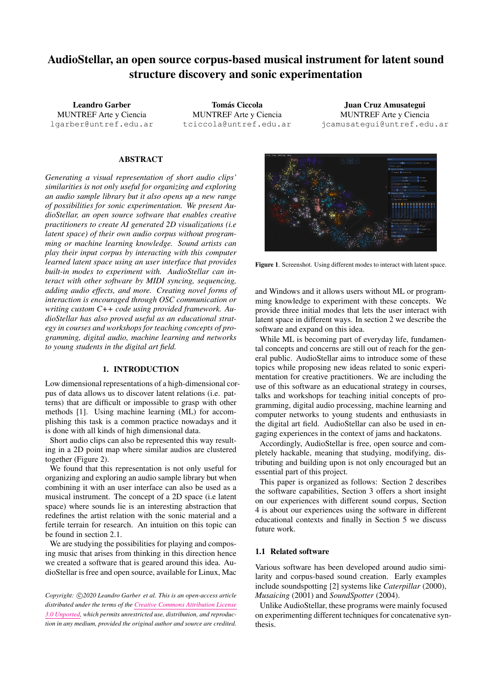# AudioStellar, an open source corpus-based musical instrument for latent sound structure discovery and sonic experimentation

Leandro Garber MUNTREF Arte y Ciencia [lgarber@untref.edu.ar](mailto:lgarber@untref.edu.ar)

**Tomás Ciccola** MUNTREF Arte y Ciencia [tciccola@untref.edu.ar](mailto:tciccola@untref.edu.ar)

Juan Cruz Amusategui MUNTREF Arte y Ciencia [jcamusategui@untref.edu.ar](mailto:jcamusategui@untref.edu.ar)

## ABSTRACT

*Generating a visual representation of short audio clips' similarities is not only useful for organizing and exploring an audio sample library but it also opens up a new range of possibilities for sonic experimentation. We present AudioStellar, an open source software that enables creative practitioners to create AI generated 2D visualizations (i.e latent space) of their own audio corpus without programming or machine learning knowledge. Sound artists can play their input corpus by interacting with this computer learned latent space using an user interface that provides built-in modes to experiment with. AudioStellar can interact with other software by MIDI syncing, sequencing, adding audio effects, and more. Creating novel forms of interaction is encouraged through OSC communication or writing custom C++ code using provided framework. AudioStellar has also proved useful as an educational strategy in courses and workshops for teaching concepts of programming, digital audio, machine learning and networks to young students in the digital art field.*

## 1. INTRODUCTION

Low dimensional representations of a high-dimensional corpus of data allows us to discover latent relations (i.e. patterns) that are difficult or impossible to grasp with other methods [\[1\]](#page-4-0). Using machine learning (ML) for accomplishing this task is a common practice nowadays and it is done with all kinds of high dimensional data.

Short audio clips can also be represented this way resulting in a 2D point map where similar audios are clustered together (Figure [2\)](#page-1-0).

We found that this representation is not only useful for organizing and exploring an audio sample library but when combining it with an user interface can also be used as a musical instrument. The concept of a 2D space (i.e latent space) where sounds lie is an interesting abstraction that redefines the artist relation with the sonic material and a fertile terrain for research. An intuition on this topic can be found in section [2.1.](#page-1-1)

We are studying the possibilities for playing and composing music that arises from thinking in this direction hence we created a software that is geared around this idea. AudioStellar is free and open source, available for Linux, Mac

Copyright:  $\bigcirc$  2020 Leandro Garber et al. This is an open-access article *distributed under the terms of the Creative Commons [Attribution](http://creativecommons.org/licenses/by/3.0/) License 3.0 [Unported,](http://creativecommons.org/licenses/by/3.0/) which permits unrestricted use, distribution, and reproduction in any medium, provided the original author and source are credited.*

<span id="page-0-0"></span>

Figure 1. Screenshot. Using different modes to interact with latent space.

and Windows and it allows users without ML or programming knowledge to experiment with these concepts. We provide three initial modes that lets the user interact with latent space in different ways. In section [2](#page-1-2) we describe the software and expand on this idea.

While ML is becoming part of everyday life, fundamental concepts and concerns are still out of reach for the general public. AudioStellar aims to introduce some of these topics while proposing new ideas related to sonic experimentation for creative practitioners. We are including the use of this software as an educational strategy in courses, talks and workshops for teaching initial concepts of programming, digital audio processing, machine learning and computer networks to young students and enthusiasts in the digital art field. AudioStellar can also be used in engaging experiences in the context of jams and hackatons.

Accordingly, AudioStellar is free, open source and completely hackable, meaning that studying, modifying, distributing and building upon is not only encouraged but an essential part of this project.

This paper is organized as follows: Section [2](#page-1-2) describes the software capabilities, Section [3](#page-3-0) offers a short insight on our experiences with different sound corpus, Section [4](#page-3-1) is about our experiences using the software in different educational contexts and finally in Section [5](#page-3-2) we discuss future work.

# 1.1 Related software

Various software has been developed around audio similarity and corpus-based sound creation. Early examples include soundspotting [\[2\]](#page-4-1) systems like *Caterpillar* (2000), *Musaicing* (2001) and *SoundSpotter* (2004).

Unlike AudioStellar, these programs were mainly focused on experimenting different techniques for concatenative synthesis.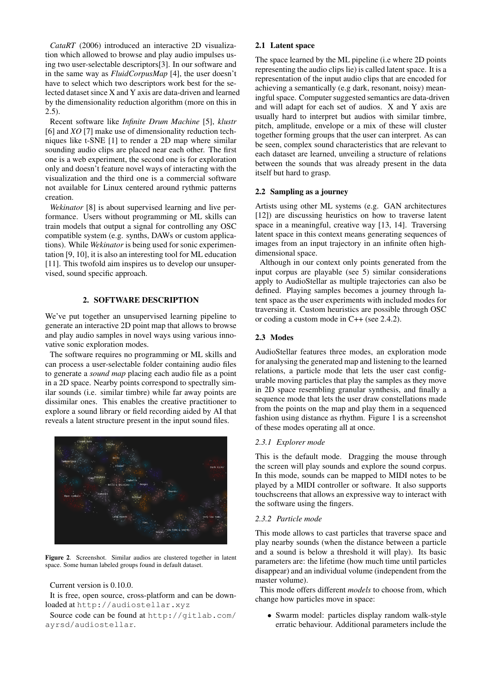*CataRT* (2006) introduced an interactive 2D visualization which allowed to browse and play audio impulses using two user-selectable descriptors[\[3\]](#page-4-2). In our software and in the same way as *FluidCorpusMap* [\[4\]](#page-4-3), the user doesn't have to select which two descriptors work best for the selected dataset since X and Y axis are data-driven and learned by the dimensionality reduction algorithm (more on this in  $2.5$ ).

Recent software like *Infinite Drum Machine* [\[5\]](#page-4-4), *klustr* [\[6\]](#page-4-5) and *XO* [\[7\]](#page-4-6) make use of dimensionality reduction techniques like t-SNE [\[1\]](#page-4-0) to render a 2D map where similar sounding audio clips are placed near each other. The first one is a web experiment, the second one is for exploration only and doesn't feature novel ways of interacting with the visualization and the third one is a commercial software not available for Linux centered around rythmic patterns creation.

*Wekinator* [\[8\]](#page-4-7) is about supervised learning and live performance. Users without programming or ML skills can train models that output a signal for controlling any OSC compatible system (e.g. synths, DAWs or custom applications). While *Wekinator* is being used for sonic experimentation [\[9,](#page-4-8) [10\]](#page-4-9), it is also an interesting tool for ML education [\[11\]](#page-4-10). This twofold aim inspires us to develop our unsupervised, sound specific approach.

# 2. SOFTWARE DESCRIPTION

<span id="page-1-2"></span>We've put together an unsupervised learning pipeline to generate an interactive 2D point map that allows to browse and play audio samples in novel ways using various innovative sonic exploration modes.

The software requires no programming or ML skills and can process a user-selectable folder containing audio files to generate a *sound map* placing each audio file as a point in a 2D space. Nearby points correspond to spectrally similar sounds (i.e. similar timbre) while far away points are dissimilar ones. This enables the creative practitioner to explore a sound library or field recording aided by AI that reveals a latent structure present in the input sound files.

<span id="page-1-0"></span>

Figure 2. Screenshot. Similar audios are clustered together in latent space. Some human labeled groups found in default dataset.

Current version is 0.10.0.

It is free, open source, cross-platform and can be downloaded at <http://audiostellar.xyz>

Source code can be found at [http://gitlab.com/](http://gitlab.com/ayrsd/audiostellar) [ayrsd/audiostellar](http://gitlab.com/ayrsd/audiostellar).

## <span id="page-1-1"></span>2.1 Latent space

The space learned by the ML pipeline (i.e where 2D points representing the audio clips lie) is called latent space. It is a representation of the input audio clips that are encoded for achieving a semantically (e.g dark, resonant, noisy) meaningful space. Computer suggested semantics are data-driven and will adapt for each set of audios. X and Y axis are usually hard to interpret but audios with similar timbre, pitch, amplitude, envelope or a mix of these will cluster together forming groups that the user can interpret. As can be seen, complex sound characteristics that are relevant to each dataset are learned, unveiling a structure of relations between the sounds that was already present in the data itself but hard to grasp.

## 2.2 Sampling as a journey

Artists using other ML systems (e.g. GAN architectures [\[12\]](#page-4-11)) are discussing heuristics on how to traverse latent space in a meaningful, creative way [\[13,](#page-4-12) [14\]](#page-4-13). Traversing latent space in this context means generating sequences of images from an input trajectory in an infinite often highdimensional space.

Although in our context only points generated from the input corpus are playable (see [5\)](#page-3-2) similar considerations apply to AudioStellar as multiple trajectories can also be defined. Playing samples becomes a journey through latent space as the user experiments with included modes for traversing it. Custom heuristics are possible through OSC or coding a custom mode in C++ (see [2.4.2\)](#page-2-1).

## 2.3 Modes

AudioStellar features three modes, an exploration mode for analysing the generated map and listening to the learned relations, a particle mode that lets the user cast configurable moving particles that play the samples as they move in 2D space resembling granular synthesis, and finally a sequence mode that lets the user draw constellations made from the points on the map and play them in a sequenced fashion using distance as rhythm. Figure [1](#page-0-0) is a screenshot of these modes operating all at once.

#### *2.3.1 Explorer mode*

This is the default mode. Dragging the mouse through the screen will play sounds and explore the sound corpus. In this mode, sounds can be mapped to MIDI notes to be played by a MIDI controller or software. It also supports touchscreens that allows an expressive way to interact with the software using the fingers.

## <span id="page-1-3"></span>*2.3.2 Particle mode*

This mode allows to cast particles that traverse space and play nearby sounds (when the distance between a particle and a sound is below a threshold it will play). Its basic parameters are: the lifetime (how much time until particles disappear) and an individual volume (independent from the master volume).

This mode offers different *models* to choose from, which change how particles move in space:

• Swarm model: particles display random walk-style erratic behaviour. Additional parameters include the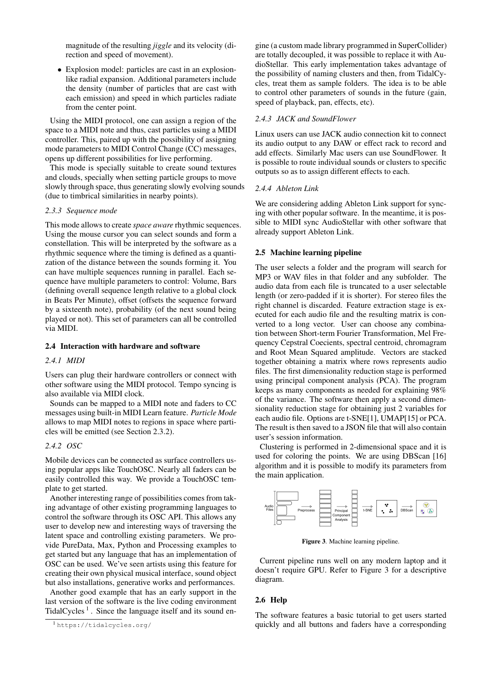magnitude of the resulting *jiggle* and its velocity (direction and speed of movement).

• Explosion model: particles are cast in an explosionlike radial expansion. Additional parameters include the density (number of particles that are cast with each emission) and speed in which particles radiate from the center point.

Using the MIDI protocol, one can assign a region of the space to a MIDI note and thus, cast particles using a MIDI controller. This, paired up with the possibility of assigning mode parameters to MIDI Control Change (CC) messages, opens up different possibilities for live performing.

This mode is specially suitable to create sound textures and clouds, specially when setting particle groups to move slowly through space, thus generating slowly evolving sounds (due to timbrical similarities in nearby points).

## *2.3.3 Sequence mode*

This mode allows to create *space aware* rhythmic sequences. Using the mouse cursor you can select sounds and form a constellation. This will be interpreted by the software as a rhythmic sequence where the timing is defined as a quantization of the distance between the sounds forming it. You can have multiple sequences running in parallel. Each sequence have multiple parameters to control: Volume, Bars (defining overall sequence length relative to a global clock in Beats Per Minute), offset (offsets the sequence forward by a sixteenth note), probability (of the next sound being played or not). This set of parameters can all be controlled via MIDI.

# 2.4 Interaction with hardware and software

## *2.4.1 MIDI*

Users can plug their hardware controllers or connect with other software using the MIDI protocol. Tempo syncing is also available via MIDI clock.

Sounds can be mapped to a MIDI note and faders to CC messages using built-in MIDI Learn feature. *Particle Mode* allows to map MIDI notes to regions in space where particles will be emitted (see Section [2.3.2\)](#page-1-3).

# <span id="page-2-1"></span>*2.4.2 OSC*

Mobile devices can be connected as surface controllers using popular apps like TouchOSC. Nearly all faders can be easily controlled this way. We provide a TouchOSC template to get started.

Another interesting range of possibilities comes from taking advantage of other existing programming languages to control the software through its OSC API. This allows any user to develop new and interesting ways of traversing the latent space and controlling existing parameters. We provide PureData, Max, Python and Processing examples to get started but any language that has an implementation of OSC can be used. We've seen artists using this feature for creating their own physical musical interface, sound object but also installations, generative works and performances.

Another good example that has an early support in the last version of the software is the live coding environment TidalCycles<sup>[1](#page-2-2)</sup>. Since the language itself and its sound engine (a custom made library programmed in SuperCollider) are totally decoupled, it was possible to replace it with AudioStellar. This early implementation takes advantage of the possibility of naming clusters and then, from TidalCycles, treat them as sample folders. The idea is to be able to control other parameters of sounds in the future (gain, speed of playback, pan, effects, etc).

## *2.4.3 JACK and SoundFlower*

Linux users can use JACK audio connection kit to connect its audio output to any DAW or effect rack to record and add effects. Similarly Mac users can use SoundFlower. It is possible to route individual sounds or clusters to specific outputs so as to assign different effects to each.

#### *2.4.4 Ableton Link*

We are considering adding Ableton Link support for syncing with other popular software. In the meantime, it is possible to MIDI sync AudioStellar with other software that already support Ableton Link.

## <span id="page-2-0"></span>2.5 Machine learning pipeline

The user selects a folder and the program will search for MP3 or WAV files in that folder and any subfolder. The audio data from each file is truncated to a user selectable length (or zero-padded if it is shorter). For stereo files the right channel is discarded. Feature extraction stage is executed for each audio file and the resulting matrix is converted to a long vector. User can choose any combination between Short-term Fourier Transformation, Mel Frequency Cepstral Coecients, spectral centroid, chromagram and Root Mean Squared amplitude. Vectors are stacked together obtaining a matrix where rows represents audio files. The first dimensionality reduction stage is performed using principal component analysis (PCA). The program keeps as many components as needed for explaining 98% of the variance. The software then apply a second dimensionality reduction stage for obtaining just 2 variables for each audio file. Options are t-SNE[\[1\]](#page-4-0), UMAP[\[15\]](#page-4-14) or PCA. The result is then saved to a JSON file that will also contain user's session information.

Clustering is performed in 2-dimensional space and it is used for coloring the points. We are using DBScan [\[16\]](#page-4-15) algorithm and it is possible to modify its parameters from the main application.

<span id="page-2-3"></span>

Figure 3. Machine learning pipeline.

Current pipeline runs well on any modern laptop and it doesn't require GPU. Refer to Figure [3](#page-2-3) for a descriptive diagram.

## 2.6 Help

The software features a basic tutorial to get users started quickly and all buttons and faders have a corresponding

<span id="page-2-2"></span><sup>1</sup> <https://tidalcycles.org/>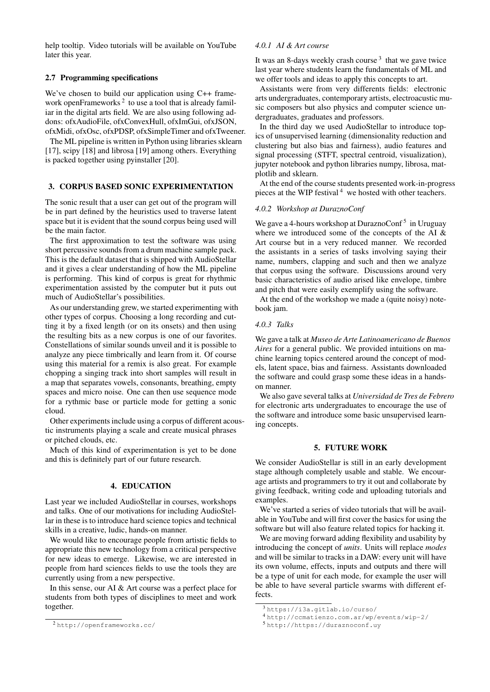help tooltip. Video tutorials will be available on YouTube later this year.

## 2.7 Programming specifications

We've chosen to build our application using C++ frame-work openFrameworks<sup>[2](#page-3-3)</sup> to use a tool that is already familiar in the digital arts field. We are also using following addons: ofxAudioFile, ofxConvexHull, ofxImGui, ofxJSON, ofxMidi, ofxOsc, ofxPDSP, ofxSimpleTimer and ofxTweener.

The ML pipeline is written in Python using libraries sklearn [\[17\]](#page-4-16), scipy [\[18\]](#page-4-17) and librosa [\[19\]](#page-4-18) among others. Everything is packed together using pyinstaller [\[20\]](#page-4-19).

## <span id="page-3-0"></span>3. CORPUS BASED SONIC EXPERIMENTATION

The sonic result that a user can get out of the program will be in part defined by the heuristics used to traverse latent space but it is evident that the sound corpus being used will be the main factor.

The first approximation to test the software was using short percussive sounds from a drum machine sample pack. This is the default dataset that is shipped with AudioStellar and it gives a clear understanding of how the ML pipeline is performing. This kind of corpus is great for rhythmic experimentation assisted by the computer but it puts out much of AudioStellar's possibilities.

As our understanding grew, we started experimenting with other types of corpus. Choosing a long recording and cutting it by a fixed length (or on its onsets) and then using the resulting bits as a new corpus is one of our favorites. Constellations of similar sounds unveil and it is possible to analyze any piece timbrically and learn from it. Of course using this material for a remix is also great. For example chopping a singing track into short samples will result in a map that separates vowels, consonants, breathing, empty spaces and micro noise. One can then use sequence mode for a rythmic base or particle mode for getting a sonic cloud.

Other experiments include using a corpus of different acoustic instruments playing a scale and create musical phrases or pitched clouds, etc.

Much of this kind of experimentation is yet to be done and this is definitely part of our future research.

#### 4. EDUCATION

<span id="page-3-1"></span>Last year we included AudioStellar in courses, workshops and talks. One of our motivations for including AudioStellar in these is to introduce hard science topics and technical skills in a creative, ludic, hands-on manner.

We would like to encourage people from artistic fields to appropriate this new technology from a critical perspective for new ideas to emerge. Likewise, we are interested in people from hard sciences fields to use the tools they are currently using from a new perspective.

In this sense, our AI & Art course was a perfect place for students from both types of disciplines to meet and work together.

#### *4.0.1 AI & Art course*

It was an 8-days weekly crash course<sup>[3](#page-3-4)</sup> that we gave twice last year where students learn the fundamentals of ML and we offer tools and ideas to apply this concepts to art.

Assistants were from very differents fields: electronic arts undergraduates, contemporary artists, electroacustic music composers but also physics and computer science undergraduates, graduates and professors.

In the third day we used AudioStellar to introduce topics of unsupervised learning (dimensionality reduction and clustering but also bias and fairness), audio features and signal processing (STFT, spectral centroid, visualization), jupyter notebook and python libraries numpy, librosa, matplotlib and sklearn.

At the end of the course students presented work-in-progress pieces at the WIP festival<sup>[4](#page-3-5)</sup> we hosted with other teachers.

## *4.0.2 Workshop at DuraznoConf*

We gave a 4-hours workshop at DuraznoConf<sup>[5](#page-3-6)</sup> in Uruguay where we introduced some of the concepts of the AI & Art course but in a very reduced manner. We recorded the assistants in a series of tasks involving saying their name, numbers, clapping and such and then we analyze that corpus using the software. Discussions around very basic characteristics of audio arised like envelope, timbre and pitch that were easily exemplify using the software.

At the end of the workshop we made a (quite noisy) notebook jam.

#### *4.0.3 Talks*

We gave a talk at *Museo de Arte Latinoamericano de Buenos Aires* for a general public. We provided intuitions on machine learning topics centered around the concept of models, latent space, bias and fairness. Assistants downloaded the software and could grasp some these ideas in a handson manner.

We also gave several talks at *Universidad de Tres de Febrero* for electronic arts undergraduates to encourage the use of the software and introduce some basic unsupervised learning concepts.

## 5. FUTURE WORK

<span id="page-3-2"></span>We consider AudioStellar is still in an early development stage although completely usable and stable. We encourage artists and programmers to try it out and collaborate by giving feedback, writing code and uploading tutorials and examples.

We've started a series of video tutorials that will be available in YouTube and will first cover the basics for using the software but will also feature related topics for hacking it.

We are moving forward adding flexibility and usability by introducing the concept of *units*. Units will replace *modes* and will be similar to tracks in a DAW: every unit will have its own volume, effects, inputs and outputs and there will be a type of unit for each mode, for example the user will be able to have several particle swarms with different effects.

<span id="page-3-3"></span><sup>2</sup> <http://openframeworks.cc/>

<span id="page-3-4"></span> $3$ https://i3a.qitlab.io/curso/

<span id="page-3-5"></span><sup>4</sup> <http://ccmatienzo.com.ar/wp/events/wip-2/>

<span id="page-3-6"></span><sup>5</sup> <http://https://duraznoconf.uy>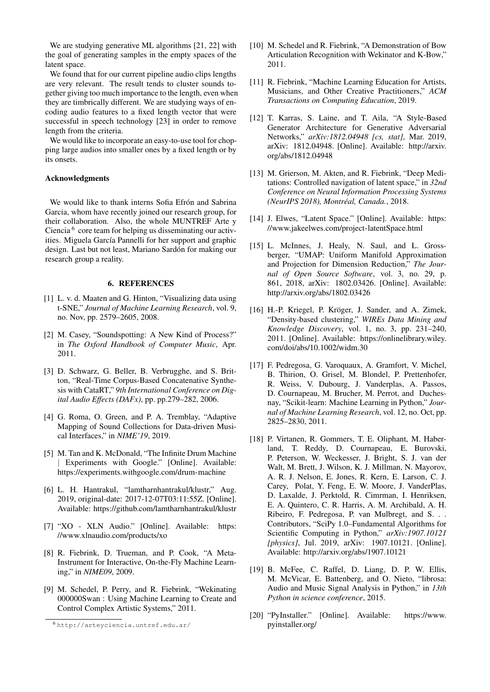We are studying generative ML algorithms [\[21,](#page-5-0) [22\]](#page-5-1) with the goal of generating samples in the empty spaces of the latent space.

We found that for our current pipeline audio clips lengths are very relevant. The result tends to cluster sounds together giving too much importance to the length, even when they are timbrically different. We are studying ways of encoding audio features to a fixed length vector that were successful in speech technology [\[23\]](#page-5-2) in order to remove length from the criteria.

We would like to incorporate an easy-to-use tool for chopping large audios into smaller ones by a fixed length or by its onsets.

## Acknowledgments

We would like to thank interns Sofia Efrón and Sabrina Garcia, whom have recently joined our research group, for their collaboration. Also, the whole MUNTREF Arte y Ciencia<sup>[6](#page-4-20)</sup> core team for helping us disseminating our activities. Miguela García Pannelli for her support and graphic design. Last but not least, Mariano Sardón for making our research group a reality.

## 6. REFERENCES

- <span id="page-4-0"></span>[1] L. v. d. Maaten and G. Hinton, "Visualizing data using t-SNE," *Journal of Machine Learning Research*, vol. 9, no. Nov, pp. 2579–2605, 2008.
- <span id="page-4-1"></span>[2] M. Casey, "Soundspotting: A New Kind of Process?" in *The Oxford Handbook of Computer Music*, Apr. 2011.
- <span id="page-4-2"></span>[3] D. Schwarz, G. Beller, B. Verbrugghe, and S. Britton, "Real-Time Corpus-Based Concatenative Synthesis with CataRT," *9th International Conference on Digital Audio Effects (DAFx)*, pp. pp.279–282, 2006.
- <span id="page-4-3"></span>[4] G. Roma, O. Green, and P. A. Tremblay, "Adaptive Mapping of Sound Collections for Data-driven Musical Interfaces," in *NIME'19*, 2019.
- <span id="page-4-4"></span>[5] M. Tan and K. McDonald, "The Infinite Drum Machine Experiments with Google." [Online]. Available: <https://experiments.withgoogle.com/drum-machine>
- <span id="page-4-5"></span>[6] L. H. Hantrakul, "lamtharnhantrakul/klustr," Aug. 2019, original-date: 2017-12-07T03:11:55Z. [Online]. Available: <https://github.com/lamtharnhantrakul/klustr>
- <span id="page-4-6"></span>[7] "XO - XLN Audio." [Online]. Available: [https:](https://www.xlnaudio.com/products/xo) [//www.xlnaudio.com/products/xo](https://www.xlnaudio.com/products/xo)
- <span id="page-4-7"></span>[8] R. Fiebrink, D. Trueman, and P. Cook, "A Meta-Instrument for Interactive, On-the-Fly Machine Learning," in *NIME09*, 2009.
- <span id="page-4-8"></span>[9] M. Schedel, P. Perry, and R. Fiebrink, "Wekinating 000000Swan : Using Machine Learning to Create and Control Complex Artistic Systems," 2011.
- <span id="page-4-9"></span>[10] M. Schedel and R. Fiebrink, "A Demonstration of Bow Articulation Recognition with Wekinator and K-Bow," 2011.
- <span id="page-4-10"></span>[11] R. Fiebrink, "Machine Learning Education for Artists, Musicians, and Other Creative Practitioners," *ACM Transactions on Computing Education*, 2019.
- <span id="page-4-11"></span>[12] T. Karras, S. Laine, and T. Aila, "A Style-Based Generator Architecture for Generative Adversarial Networks," *arXiv:1812.04948 [cs, stat]*, Mar. 2019, arXiv: 1812.04948. [Online]. Available: [http://arxiv.](http://arxiv.org/abs/1812.04948) [org/abs/1812.04948](http://arxiv.org/abs/1812.04948)
- <span id="page-4-12"></span>[13] M. Grierson, M. Akten, and R. Fiebrink, "Deep Meditations: Controlled navigation of latent space," in *32nd Conference on Neural Information Processing Systems (NeurIPS 2018), Montreal, Canada. ´* , 2018.
- <span id="page-4-13"></span>[14] J. Elwes, "Latent Space." [Online]. Available: [https:](https://www.jakeelwes.com/project-latentSpace.html) [//www.jakeelwes.com/project-latentSpace.html](https://www.jakeelwes.com/project-latentSpace.html)
- <span id="page-4-14"></span>[15] L. McInnes, J. Healy, N. Saul, and L. Grossberger, "UMAP: Uniform Manifold Approximation and Projection for Dimension Reduction," *The Journal of Open Source Software*, vol. 3, no. 29, p. 861, 2018, arXiv: 1802.03426. [Online]. Available: <http://arxiv.org/abs/1802.03426>
- <span id="page-4-15"></span>[16] H.-P. Kriegel, P. Kröger, J. Sander, and A. Zimek, "Density-based clustering," *WIREs Data Mining and Knowledge Discovery*, vol. 1, no. 3, pp. 231–240, 2011. [Online]. Available: [https://onlinelibrary.wiley.](https://onlinelibrary.wiley.com/doi/abs/10.1002/widm.30) [com/doi/abs/10.1002/widm.30](https://onlinelibrary.wiley.com/doi/abs/10.1002/widm.30)
- <span id="page-4-16"></span>[17] F. Pedregosa, G. Varoquaux, A. Gramfort, V. Michel, B. Thirion, O. Grisel, M. Blondel, P. Prettenhofer, R. Weiss, V. Dubourg, J. Vanderplas, A. Passos, D. Cournapeau, M. Brucher, M. Perrot, and Duchesnay, "Scikit-learn: Machine Learning in Python," *Journal of Machine Learning Research*, vol. 12, no. Oct, pp. 2825–2830, 2011.
- <span id="page-4-17"></span>[18] P. Virtanen, R. Gommers, T. E. Oliphant, M. Haberland, T. Reddy, D. Cournapeau, E. Burovski, P. Peterson, W. Weckesser, J. Bright, S. J. van der Walt, M. Brett, J. Wilson, K. J. Millman, N. Mayorov, A. R. J. Nelson, E. Jones, R. Kern, E. Larson, C. J. Carey, Polat, Y. Feng, E. W. Moore, J. VanderPlas, D. Laxalde, J. Perktold, R. Cimrman, I. Henriksen, E. A. Quintero, C. R. Harris, A. M. Archibald, A. H. Ribeiro, F. Pedregosa, P. van Mulbregt, and S. . . Contributors, "SciPy 1.0–Fundamental Algorithms for Scientific Computing in Python," *arXiv:1907.10121 [physics]*, Jul. 2019, arXiv: 1907.10121. [Online]. Available: <http://arxiv.org/abs/1907.10121>
- <span id="page-4-18"></span>[19] B. McFee, C. Raffel, D. Liang, D. P. W. Ellis, M. McVicar, E. Battenberg, and O. Nieto, "librosa: Audio and Music Signal Analysis in Python," in *13th Python in science conference*, 2015.
- <span id="page-4-19"></span>[20] "PyInstaller." [Online]. Available: [https://www.](https://www.pyinstaller.org/) [pyinstaller.org/](https://www.pyinstaller.org/)

<span id="page-4-20"></span><sup>6</sup> <http://arteyciencia.untref.edu.ar/>